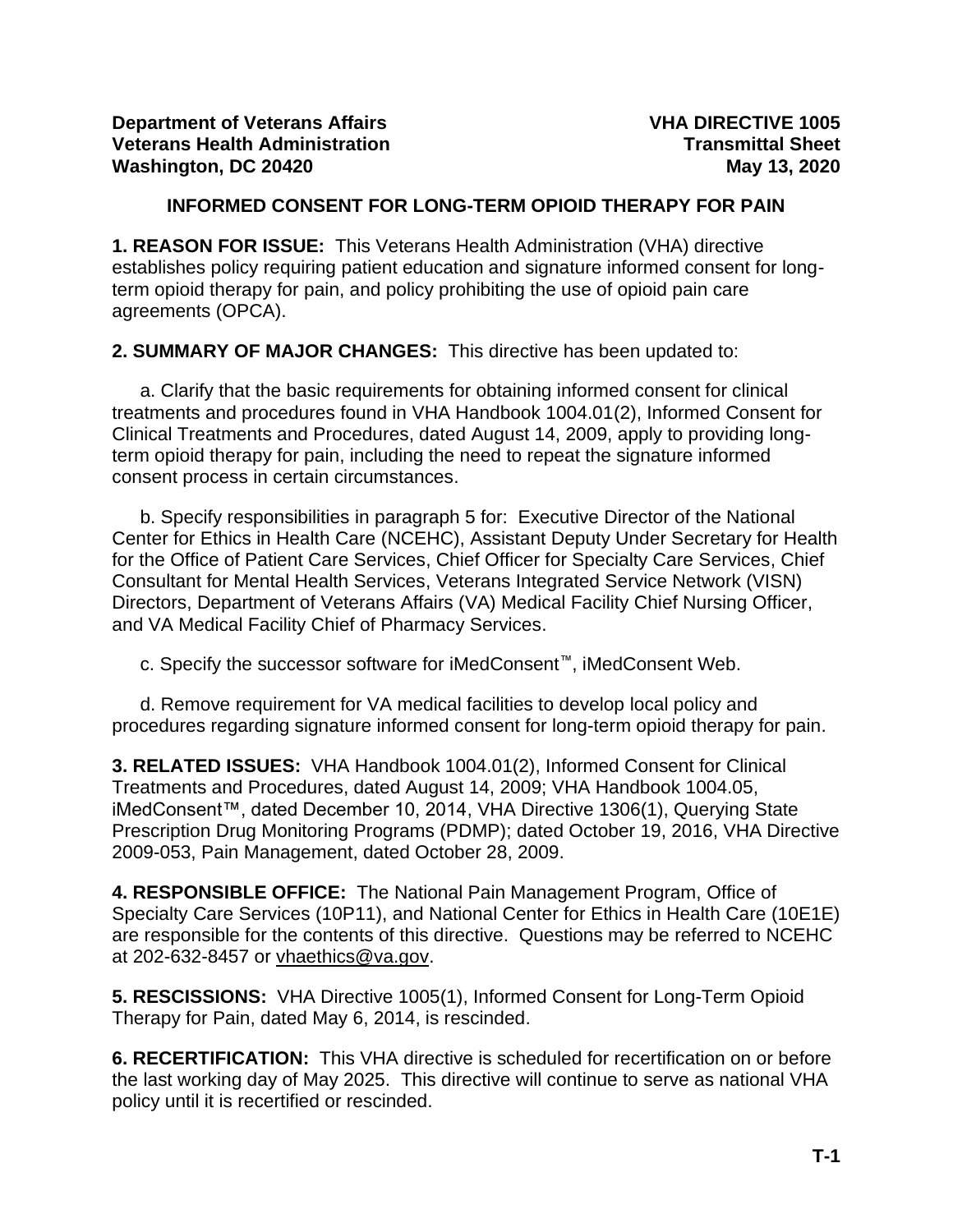### **INFORMED CONSENT FOR LONG-TERM OPIOID THERAPY FOR PAIN**

**1. REASON FOR ISSUE:** This Veterans Health Administration (VHA) directive establishes policy requiring patient education and signature informed consent for longterm opioid therapy for pain, and policy prohibiting the use of opioid pain care agreements (OPCA).

**2. SUMMARY OF MAJOR CHANGES:** This directive has been updated to:

a. Clarify that the basic requirements for obtaining informed consent for clinical treatments and procedures found in VHA Handbook 1004.01(2), Informed Consent for Clinical Treatments and Procedures, dated August 14, 2009, apply to providing longterm opioid therapy for pain, including the need to repeat the signature informed consent process in certain circumstances.

b. Specify responsibilities in paragraph 5 for: Executive Director of the National Center for Ethics in Health Care (NCEHC), Assistant Deputy Under Secretary for Health for the Office of Patient Care Services, Chief Officer for Specialty Care Services, Chief Consultant for Mental Health Services, Veterans Integrated Service Network (VISN) Directors, Department of Veterans Affairs (VA) Medical Facility Chief Nursing Officer, and VA Medical Facility Chief of Pharmacy Services.

c. Specify the successor software for iMedConsent™, iMedConsent Web.

d. Remove requirement for VA medical facilities to develop local policy and procedures regarding signature informed consent for long-term opioid therapy for pain.

**3. RELATED ISSUES:** VHA Handbook 1004.01(2), Informed Consent for Clinical Treatments and Procedures, dated August 14, 2009; VHA Handbook 1004.05, iMedConsent™, dated December 10, 2014, VHA Directive 1306(1), Querying State Prescription Drug Monitoring Programs (PDMP); dated October 19, 2016, VHA Directive 2009-053, Pain Management, dated October 28, 2009.

**4. RESPONSIBLE OFFICE:** The National Pain Management Program, Office of Specialty Care Services (10P11), and National Center for Ethics in Health Care (10E1E) are responsible for the contents of this directive. Questions may be referred to NCEHC at 202-632-8457 or [vhaethics@va.gov.](mailto:vhaethics@va.gov)

**5. RESCISSIONS:** VHA Directive 1005(1), Informed Consent for Long-Term Opioid Therapy for Pain, dated May 6, 2014, is rescinded.

**6. RECERTIFICATION:** This VHA directive is scheduled for recertification on or before the last working day of May 2025. This directive will continue to serve as national VHA policy until it is recertified or rescinded.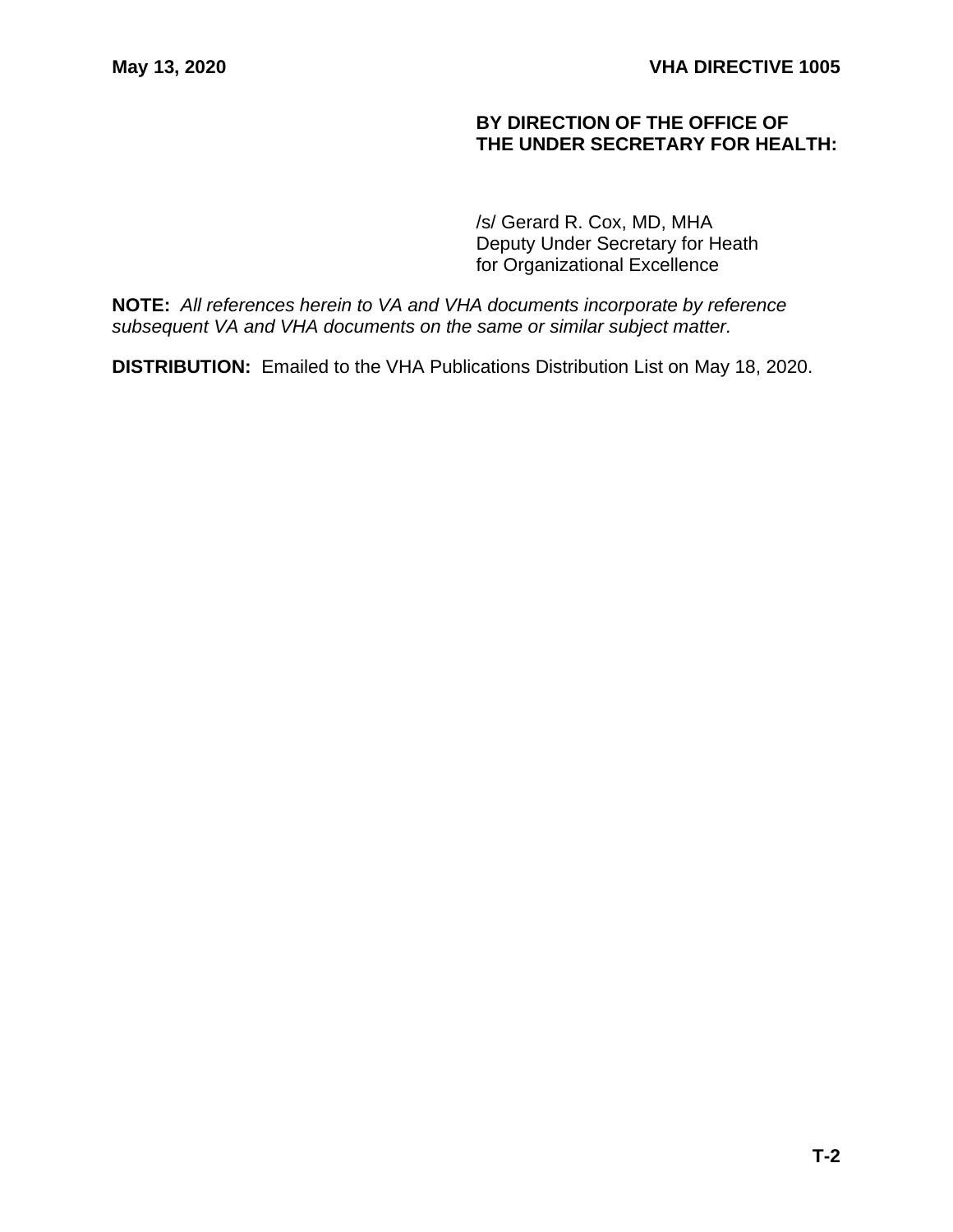### **BY DIRECTION OF THE OFFICE OF THE UNDER SECRETARY FOR HEALTH:**

/s/ Gerard R. Cox, MD, MHA Deputy Under Secretary for Heath for Organizational Excellence

**NOTE:** *All references herein to VA and VHA documents incorporate by reference subsequent VA and VHA documents on the same or similar subject matter.*

**DISTRIBUTION:** Emailed to the VHA Publications Distribution List on May 18, 2020.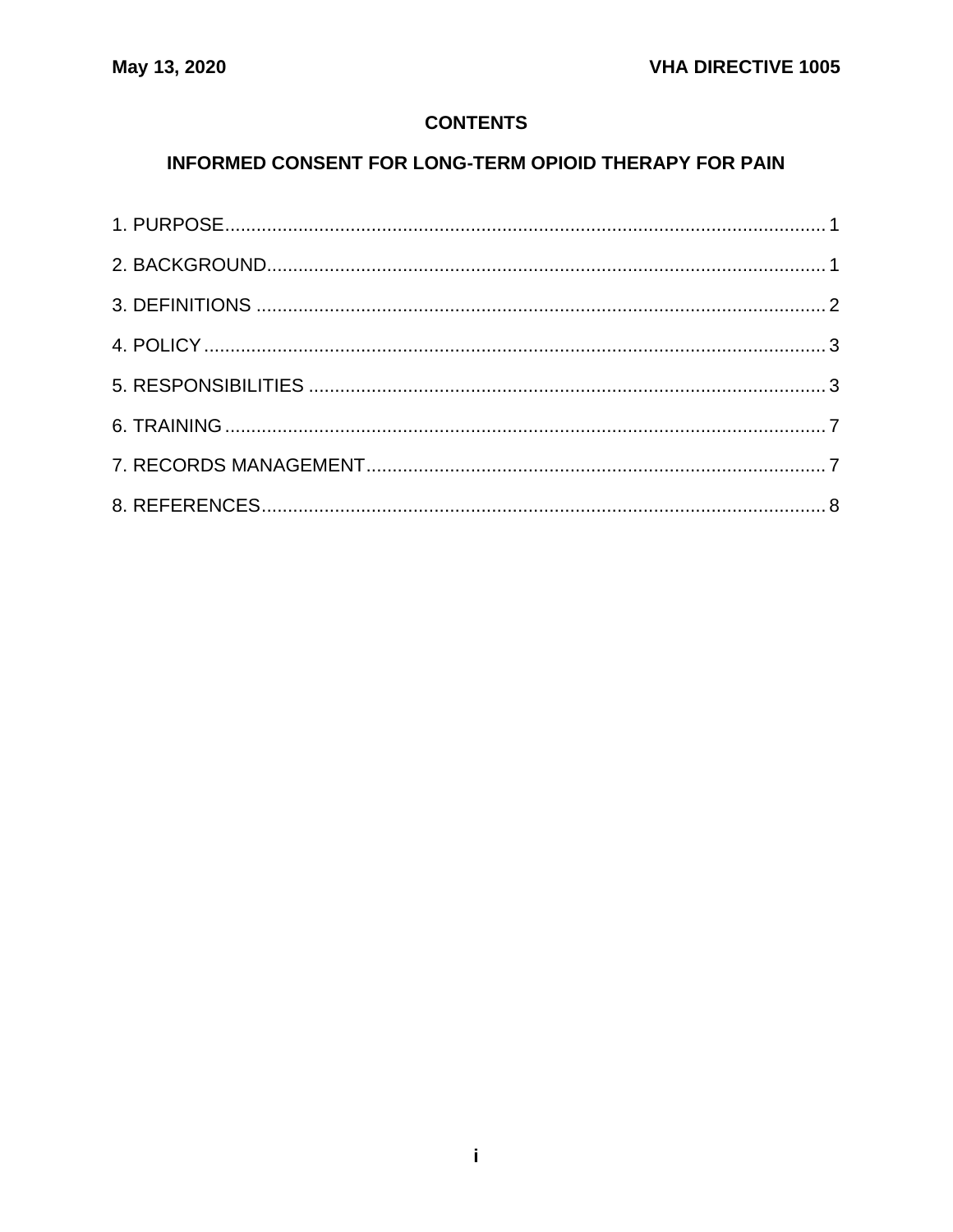## **CONTENTS**

# INFORMED CONSENT FOR LONG-TERM OPIOID THERAPY FOR PAIN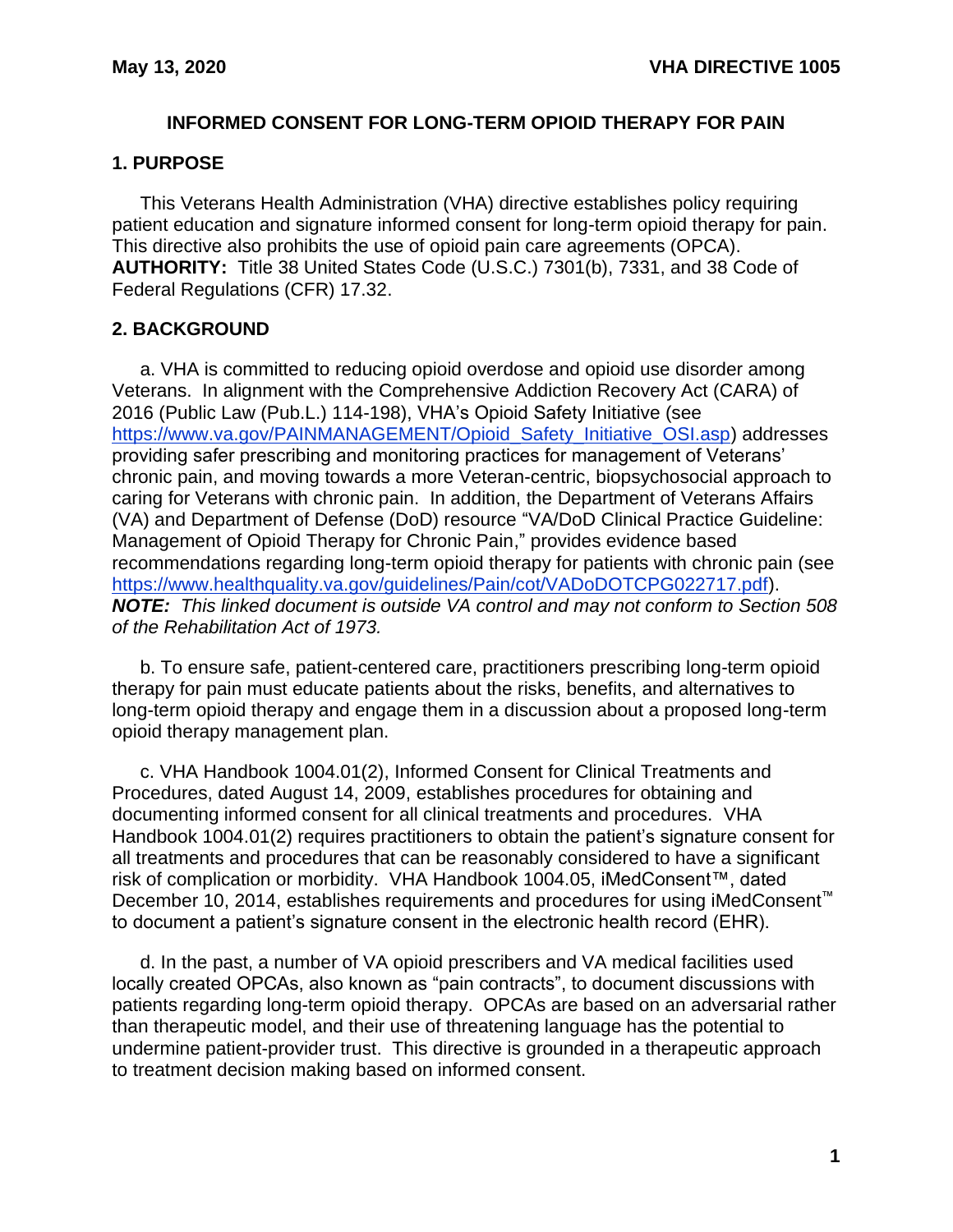#### **INFORMED CONSENT FOR LONG-TERM OPIOID THERAPY FOR PAIN**

#### <span id="page-3-0"></span>**1. PURPOSE**

This Veterans Health Administration (VHA) directive establishes policy requiring patient education and signature informed consent for long-term opioid therapy for pain. This directive also prohibits the use of opioid pain care agreements (OPCA). **AUTHORITY:** Title 38 United States Code (U.S.C.) 7301(b), 7331, and 38 Code of Federal Regulations (CFR) 17.32.

### <span id="page-3-1"></span>**2. BACKGROUND**

a. VHA is committed to reducing opioid overdose and opioid use disorder among Veterans. In alignment with the Comprehensive Addiction Recovery Act (CARA) of 2016 (Public Law (Pub.L.) 114-198), VHA's Opioid Safety Initiative (see [https://www.va.gov/PAINMANAGEMENT/Opioid\\_Safety\\_Initiative\\_OSI.asp\)](https://www.va.gov/PAINMANAGEMENT/Opioid_Safety_Initiative_OSI.asp) addresses providing safer prescribing and monitoring practices for management of Veterans' chronic pain, and moving towards a more Veteran-centric, biopsychosocial approach to caring for Veterans with chronic pain. In addition, the Department of Veterans Affairs (VA) and Department of Defense (DoD) resource "VA/DoD Clinical Practice Guideline: Management of Opioid Therapy for Chronic Pain," provides evidence based recommendations regarding long-term opioid therapy for patients with chronic pain (see [https://www.healthquality.va.gov/guidelines/Pain/cot/VADoDOTCPG022717.pdf\)](https://www.healthquality.va.gov/guidelines/Pain/cot/VADoDOTCPG022717.pdf). *NOTE: This linked document is outside VA control and may not conform to Section 508 of the Rehabilitation Act of 1973.*

b. To ensure safe, patient-centered care, practitioners prescribing long-term opioid therapy for pain must educate patients about the risks, benefits, and alternatives to long-term opioid therapy and engage them in a discussion about a proposed long-term opioid therapy management plan.

c. VHA Handbook 1004.01(2), Informed Consent for Clinical Treatments and Procedures, dated August 14, 2009, establishes procedures for obtaining and documenting informed consent for all clinical treatments and procedures. VHA Handbook 1004.01(2) requires practitioners to obtain the patient's signature consent for all treatments and procedures that can be reasonably considered to have a significant risk of complication or morbidity. VHA Handbook 1004.05, iMedConsent™, dated December 10, 2014, establishes requirements and procedures for using iMedConsent™ to document a patient's signature consent in the electronic health record (EHR).

d. In the past, a number of VA opioid prescribers and VA medical facilities used locally created OPCAs, also known as "pain contracts", to document discussions with patients regarding long-term opioid therapy. OPCAs are based on an adversarial rather than therapeutic model, and their use of threatening language has the potential to undermine patient-provider trust. This directive is grounded in a therapeutic approach to treatment decision making based on informed consent.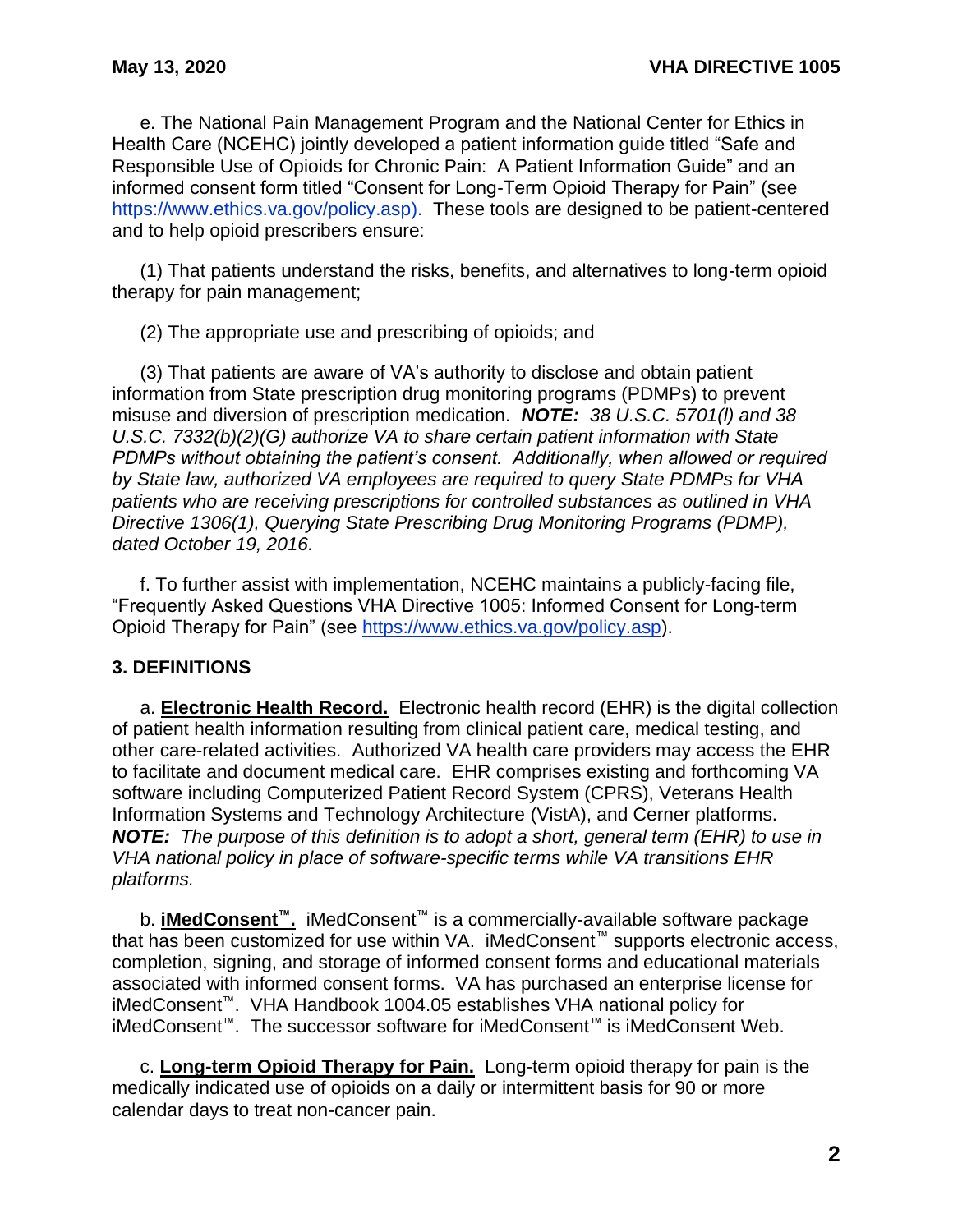e. The National Pain Management Program and the National Center for Ethics in Health Care (NCEHC) jointly developed a patient information guide titled "Safe and Responsible Use of Opioids for Chronic Pain: A Patient Information Guide" and an informed consent form titled "Consent for Long-Term Opioid Therapy for Pain" (see [https://www.ethics.va.gov/policy.asp\)](https://www.ethics.va.gov/policy.asp). These tools are designed to be patient-centered and to help opioid prescribers ensure:

(1) That patients understand the risks, benefits, and alternatives to long-term opioid therapy for pain management;

(2) The appropriate use and prescribing of opioids; and

(3) That patients are aware of VA's authority to disclose and obtain patient information from State prescription drug monitoring programs (PDMPs) to prevent misuse and diversion of prescription medication. *NOTE: 38 U.S.C. 5701(l) and 38 U.S.C. 7332(b)(2)(G) authorize VA to share certain patient information with State PDMPs without obtaining the patient's consent. Additionally, when allowed or required by State law, authorized VA employees are required to query State PDMPs for VHA patients who are receiving prescriptions for controlled substances as outlined in VHA Directive 1306(1), Querying State Prescribing Drug Monitoring Programs (PDMP), dated October 19, 2016.*

f. To further assist with implementation, NCEHC maintains a publicly-facing file, "Frequently Asked Questions VHA Directive 1005: Informed Consent for Long-term Opioid Therapy for Pain" (see [https://www.ethics.va.gov/policy.asp\)](https://www.ethics.va.gov/policy.asp).

### <span id="page-4-0"></span>**3. DEFINITIONS**

a. **Electronic Health Record.** Electronic health record (EHR) is the digital collection of patient health information resulting from clinical patient care, medical testing, and other care-related activities. Authorized VA health care providers may access the EHR to facilitate and document medical care. EHR comprises existing and forthcoming VA software including Computerized Patient Record System (CPRS), Veterans Health Information Systems and Technology Architecture (VistA), and Cerner platforms. *NOTE: The purpose of this definition is to adopt a short, general term (EHR) to use in VHA national policy in place of software-specific terms while VA transitions EHR platforms.*

b. **iMedConsent™.** iMedConsent™ is a commercially-available software package that has been customized for use within VA. iMedConsent™ supports electronic access, completion, signing, and storage of informed consent forms and educational materials associated with informed consent forms. VA has purchased an enterprise license for iMedConsent™. VHA Handbook 1004.05 establishes VHA national policy for iMedConsent™. The successor software for iMedConsent™ is iMedConsent Web.

c. **Long-term Opioid Therapy for Pain.** Long-term opioid therapy for pain is the medically indicated use of opioids on a daily or intermittent basis for 90 or more calendar days to treat non-cancer pain.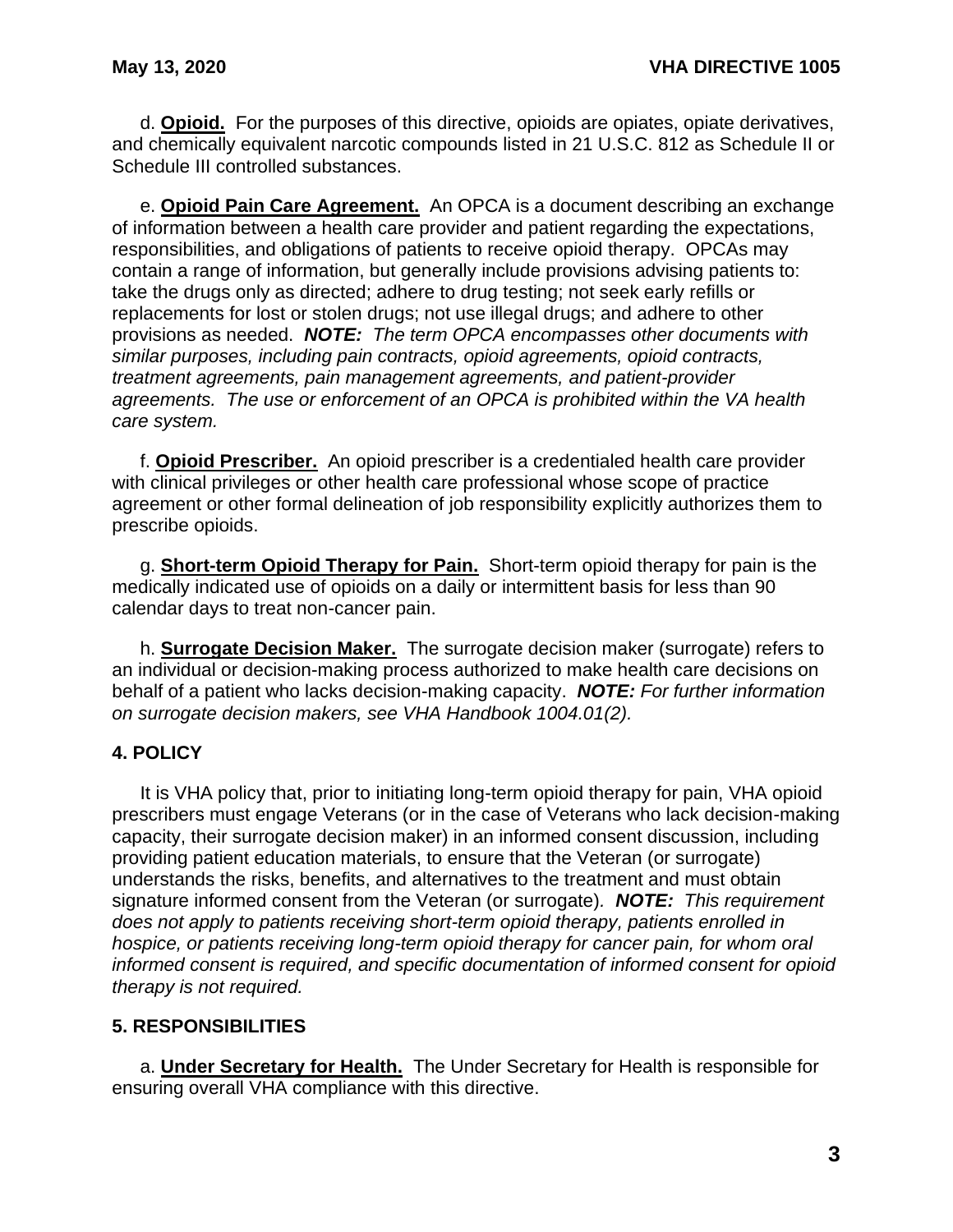d. **Opioid.** For the purposes of this directive, opioids are opiates, opiate derivatives, and chemically equivalent narcotic compounds listed in 21 U.S.C. 812 as Schedule II or Schedule III controlled substances.

e. **Opioid Pain Care Agreement.** An OPCA is a document describing an exchange of information between a health care provider and patient regarding the expectations, responsibilities, and obligations of patients to receive opioid therapy. OPCAs may contain a range of information, but generally include provisions advising patients to: take the drugs only as directed; adhere to drug testing; not seek early refills or replacements for lost or stolen drugs; not use illegal drugs; and adhere to other provisions as needed. *NOTE: The term OPCA encompasses other documents with similar purposes, including pain contracts, opioid agreements, opioid contracts, treatment agreements, pain management agreements, and patient-provider agreements. The use or enforcement of an OPCA is prohibited within the VA health care system.*

f. **Opioid Prescriber.** An opioid prescriber is a credentialed health care provider with clinical privileges or other health care professional whose scope of practice agreement or other formal delineation of job responsibility explicitly authorizes them to prescribe opioids.

g. **Short-term Opioid Therapy for Pain.** Short-term opioid therapy for pain is the medically indicated use of opioids on a daily or intermittent basis for less than 90 calendar days to treat non-cancer pain.

h. **Surrogate Decision Maker.** The surrogate decision maker (surrogate) refers to an individual or decision-making process authorized to make health care decisions on behalf of a patient who lacks decision-making capacity. *NOTE: For further information on surrogate decision makers, see VHA Handbook 1004.01(2).*

### <span id="page-5-0"></span>**4. POLICY**

It is VHA policy that, prior to initiating long-term opioid therapy for pain, VHA opioid prescribers must engage Veterans (or in the case of Veterans who lack decision-making capacity, their surrogate decision maker) in an informed consent discussion, including providing patient education materials, to ensure that the Veteran (or surrogate) understands the risks, benefits, and alternatives to the treatment and must obtain signature informed consent from the Veteran (or surrogate)*. NOTE: This requirement does not apply to patients receiving short-term opioid therapy, patients enrolled in hospice, or patients receiving long-term opioid therapy for cancer pain, for whom oral informed consent is required, and specific documentation of informed consent for opioid therapy is not required.*

#### <span id="page-5-1"></span>**5. RESPONSIBILITIES**

a. **Under Secretary for Health.** The Under Secretary for Health is responsible for ensuring overall VHA compliance with this directive.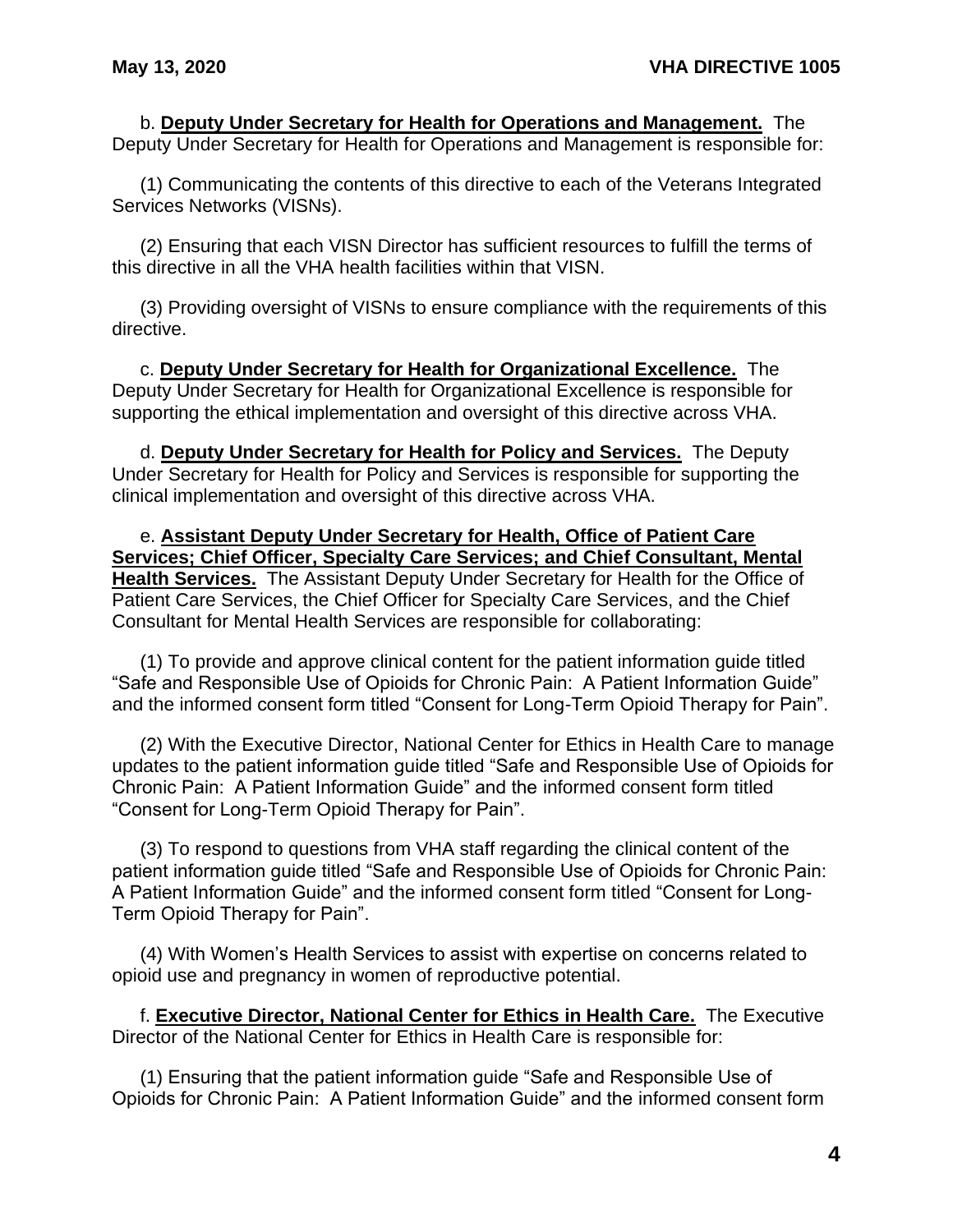b. **Deputy Under Secretary for Health for Operations and Management.** The Deputy Under Secretary for Health for Operations and Management is responsible for:

(1) Communicating the contents of this directive to each of the Veterans Integrated Services Networks (VISNs).

(2) Ensuring that each VISN Director has sufficient resources to fulfill the terms of this directive in all the VHA health facilities within that VISN.

(3) Providing oversight of VISNs to ensure compliance with the requirements of this directive.

c. **Deputy Under Secretary for Health for Organizational Excellence.** The Deputy Under Secretary for Health for Organizational Excellence is responsible for supporting the ethical implementation and oversight of this directive across VHA.

d. **Deputy Under Secretary for Health for Policy and Services.** The Deputy Under Secretary for Health for Policy and Services is responsible for supporting the clinical implementation and oversight of this directive across VHA.

e. **Assistant Deputy Under Secretary for Health, Office of Patient Care Services; Chief Officer, Specialty Care Services; and Chief Consultant, Mental Health Services.** The Assistant Deputy Under Secretary for Health for the Office of Patient Care Services, the Chief Officer for Specialty Care Services, and the Chief Consultant for Mental Health Services are responsible for collaborating:

(1) To provide and approve clinical content for the patient information guide titled "Safe and Responsible Use of Opioids for Chronic Pain: A Patient Information Guide" and the informed consent form titled "Consent for Long-Term Opioid Therapy for Pain".

(2) With the Executive Director, National Center for Ethics in Health Care to manage updates to the patient information guide titled "Safe and Responsible Use of Opioids for Chronic Pain: A Patient Information Guide" and the informed consent form titled "Consent for Long-Term Opioid Therapy for Pain".

(3) To respond to questions from VHA staff regarding the clinical content of the patient information guide titled "Safe and Responsible Use of Opioids for Chronic Pain: A Patient Information Guide" and the informed consent form titled "Consent for Long-Term Opioid Therapy for Pain".

(4) With Women's Health Services to assist with expertise on concerns related to opioid use and pregnancy in women of reproductive potential.

f. **Executive Director, National Center for Ethics in Health Care.** The Executive Director of the National Center for Ethics in Health Care is responsible for:

(1) Ensuring that the patient information guide "Safe and Responsible Use of Opioids for Chronic Pain: A Patient Information Guide" and the informed consent form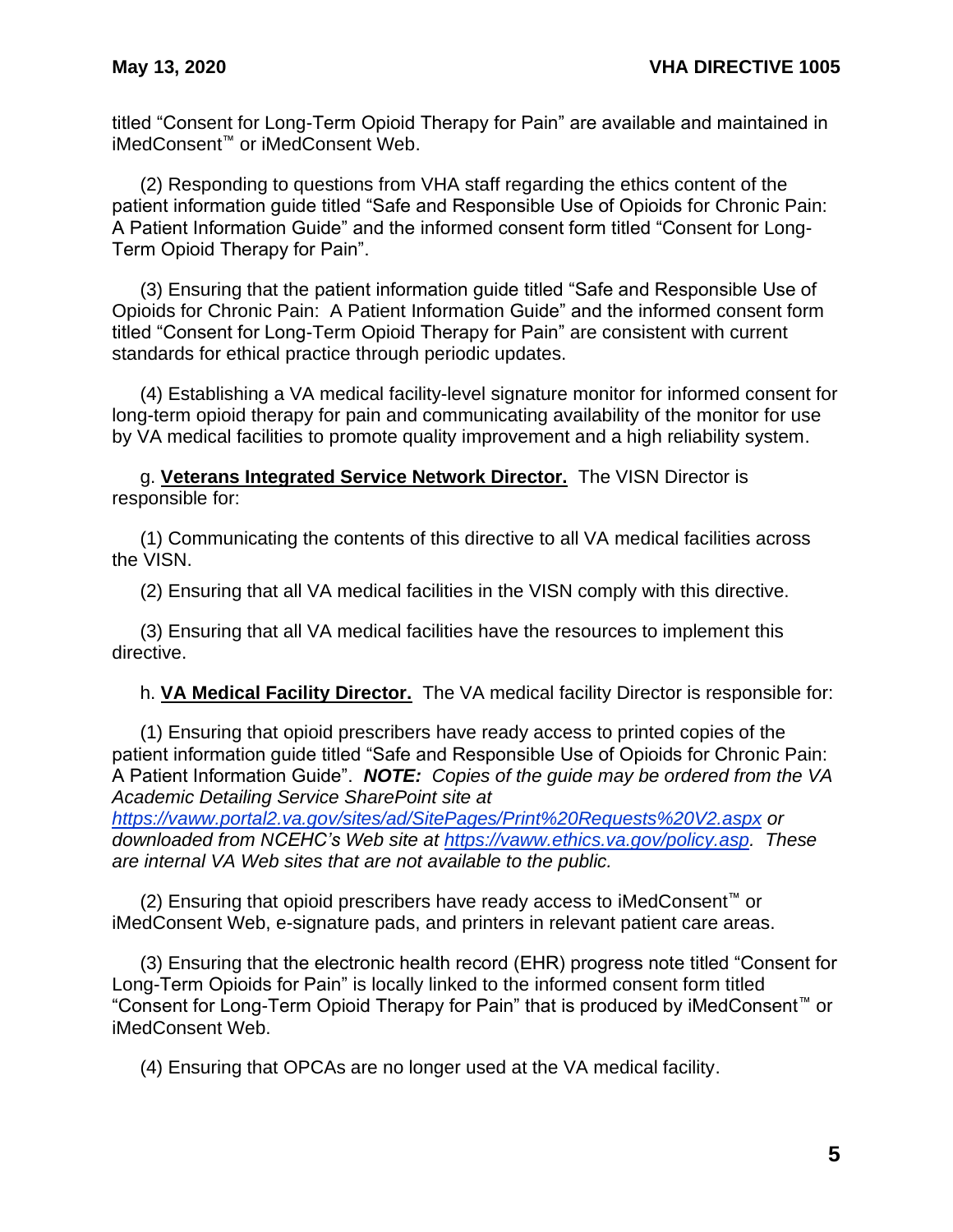titled "Consent for Long-Term Opioid Therapy for Pain" are available and maintained in iMedConsent™ or iMedConsent Web.

(2) Responding to questions from VHA staff regarding the ethics content of the patient information guide titled "Safe and Responsible Use of Opioids for Chronic Pain: A Patient Information Guide" and the informed consent form titled "Consent for Long-Term Opioid Therapy for Pain".

(3) Ensuring that the patient information guide titled "Safe and Responsible Use of Opioids for Chronic Pain: A Patient Information Guide" and the informed consent form titled "Consent for Long-Term Opioid Therapy for Pain" are consistent with current standards for ethical practice through periodic updates.

(4) Establishing a VA medical facility-level signature monitor for informed consent for long-term opioid therapy for pain and communicating availability of the monitor for use by VA medical facilities to promote quality improvement and a high reliability system.

g. **Veterans Integrated Service Network Director.** The VISN Director is responsible for:

(1) Communicating the contents of this directive to all VA medical facilities across the VISN.

(2) Ensuring that all VA medical facilities in the VISN comply with this directive.

(3) Ensuring that all VA medical facilities have the resources to implement this directive.

h. **VA Medical Facility Director.** The VA medical facility Director is responsible for:

(1) Ensuring that opioid prescribers have ready access to printed copies of the patient information guide titled "Safe and Responsible Use of Opioids for Chronic Pain: A Patient Information Guide". *NOTE: Copies of the guide may be ordered from the VA Academic Detailing Service SharePoint site at* 

*<https://vaww.portal2.va.gov/sites/ad/SitePages/Print%20Requests%20V2.aspx> or downloaded from NCEHC's Web site at [https://vaww.ethics.va.gov/policy.asp.](https://vaww.ethics.va.gov/policy.asp) These are internal VA Web sites that are not available to the public.*

(2) Ensuring that opioid prescribers have ready access to iMedConsent™ or iMedConsent Web, e-signature pads, and printers in relevant patient care areas.

(3) Ensuring that the electronic health record (EHR) progress note titled "Consent for Long-Term Opioids for Pain" is locally linked to the informed consent form titled "Consent for Long-Term Opioid Therapy for Pain" that is produced by iMedConsent™ or iMedConsent Web.

(4) Ensuring that OPCAs are no longer used at the VA medical facility.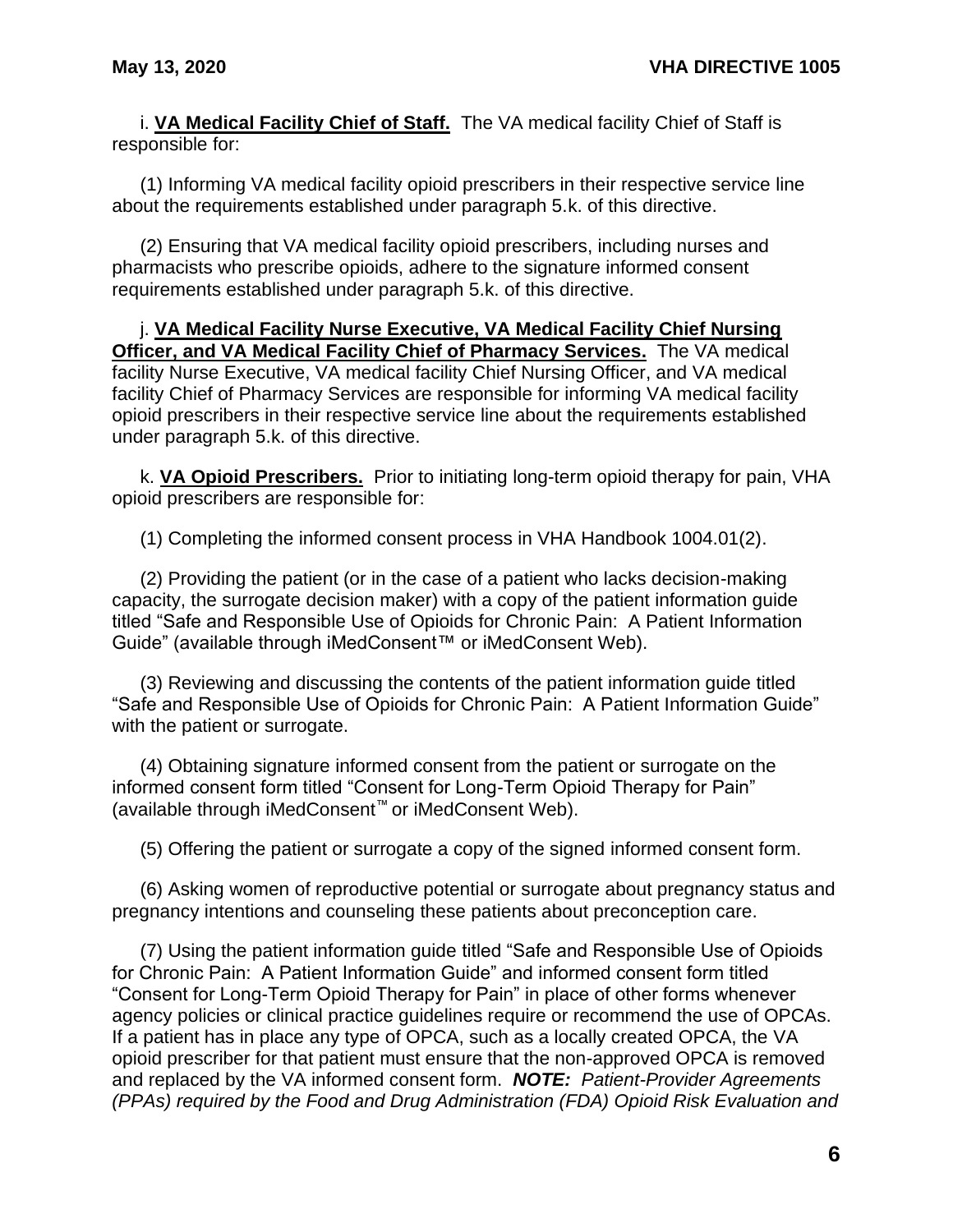i. **VA Medical Facility Chief of Staff.** The VA medical facility Chief of Staff is responsible for:

(1) Informing VA medical facility opioid prescribers in their respective service line about the requirements established under paragraph 5.k. of this directive.

(2) Ensuring that VA medical facility opioid prescribers, including nurses and pharmacists who prescribe opioids, adhere to the signature informed consent requirements established under paragraph 5.k. of this directive.

j. **VA Medical Facility Nurse Executive, VA Medical Facility Chief Nursing Officer, and VA Medical Facility Chief of Pharmacy Services.** The VA medical facility Nurse Executive, VA medical facility Chief Nursing Officer, and VA medical facility Chief of Pharmacy Services are responsible for informing VA medical facility opioid prescribers in their respective service line about the requirements established under paragraph 5.k. of this directive.

k. **VA Opioid Prescribers.** Prior to initiating long-term opioid therapy for pain, VHA opioid prescribers are responsible for:

(1) Completing the informed consent process in VHA Handbook 1004.01(2).

(2) Providing the patient (or in the case of a patient who lacks decision-making capacity, the surrogate decision maker) with a copy of the patient information guide titled "Safe and Responsible Use of Opioids for Chronic Pain: A Patient Information Guide" (available through iMedConsent™ or iMedConsent Web).

(3) Reviewing and discussing the contents of the patient information guide titled "Safe and Responsible Use of Opioids for Chronic Pain: A Patient Information Guide" with the patient or surrogate.

(4) Obtaining signature informed consent from the patient or surrogate on the informed consent form titled "Consent for Long-Term Opioid Therapy for Pain" (available through iMedConsent™ or iMedConsent Web).

(5) Offering the patient or surrogate a copy of the signed informed consent form.

(6) Asking women of reproductive potential or surrogate about pregnancy status and pregnancy intentions and counseling these patients about preconception care.

(7) Using the patient information guide titled "Safe and Responsible Use of Opioids for Chronic Pain: A Patient Information Guide" and informed consent form titled "Consent for Long-Term Opioid Therapy for Pain" in place of other forms whenever agency policies or clinical practice guidelines require or recommend the use of OPCAs. If a patient has in place any type of OPCA, such as a locally created OPCA, the VA opioid prescriber for that patient must ensure that the non-approved OPCA is removed and replaced by the VA informed consent form. *NOTE: Patient-Provider Agreements (PPAs) required by the Food and Drug Administration (FDA) Opioid Risk Evaluation and*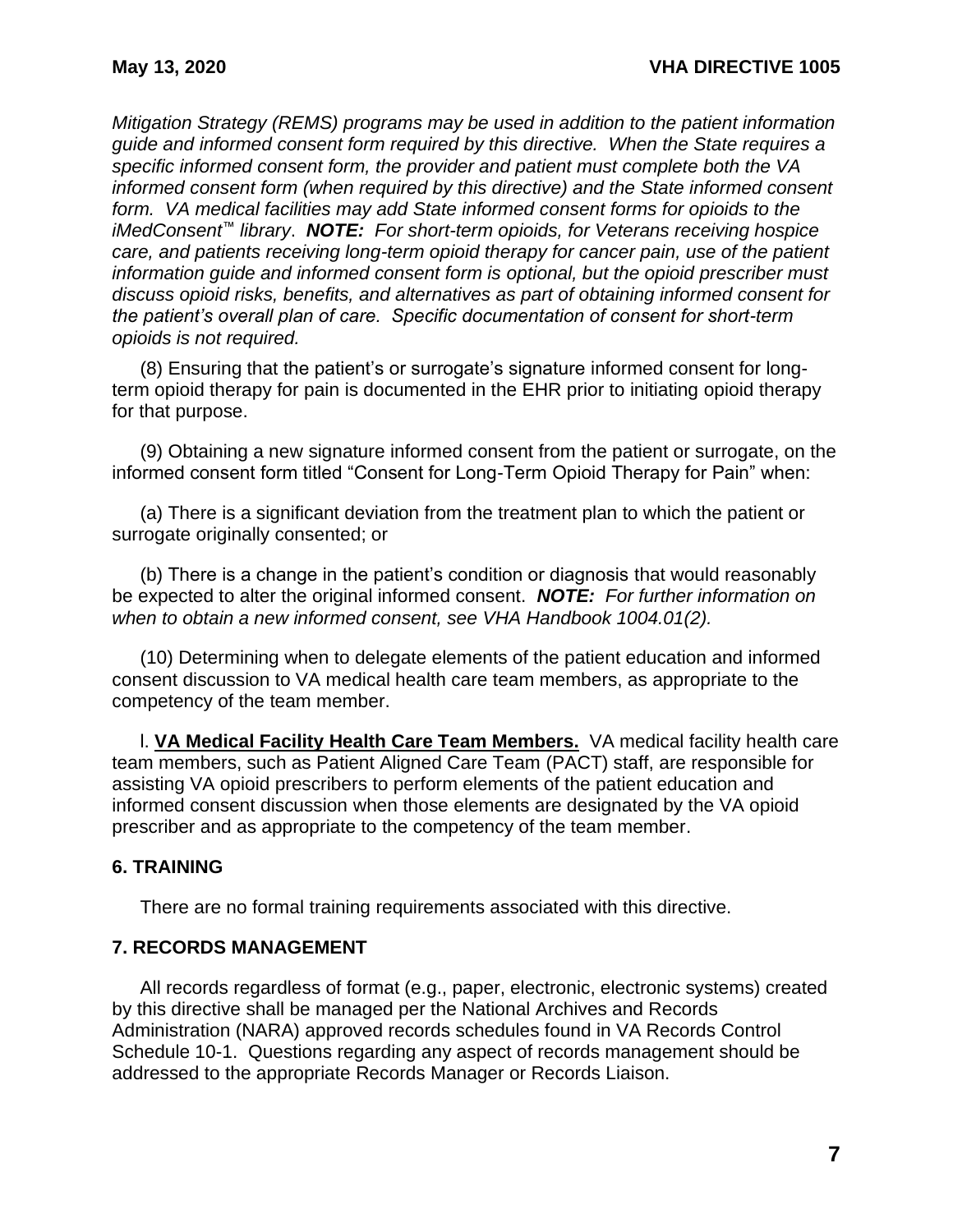*Mitigation Strategy (REMS) programs may be used in addition to the patient information guide and informed consent form required by this directive. When the State requires a specific informed consent form, the provider and patient must complete both the VA informed consent form (when required by this directive) and the State informed consent form. VA medical facilities may add State informed consent forms for opioids to the iMedConsent™ library*. *NOTE: For short-term opioids, for Veterans receiving hospice care, and patients receiving long-term opioid therapy for cancer pain, use of the patient information guide and informed consent form is optional, but the opioid prescriber must discuss opioid risks, benefits, and alternatives as part of obtaining informed consent for the patient's overall plan of care. Specific documentation of consent for short-term opioids is not required.*

(8) Ensuring that the patient's or surrogate's signature informed consent for longterm opioid therapy for pain is documented in the EHR prior to initiating opioid therapy for that purpose.

(9) Obtaining a new signature informed consent from the patient or surrogate, on the informed consent form titled "Consent for Long-Term Opioid Therapy for Pain" when:

(a) There is a significant deviation from the treatment plan to which the patient or surrogate originally consented; or

(b) There is a change in the patient's condition or diagnosis that would reasonably be expected to alter the original informed consent. *NOTE: For further information on when to obtain a new informed consent, see VHA Handbook 1004.01(2).*

(10) Determining when to delegate elements of the patient education and informed consent discussion to VA medical health care team members, as appropriate to the competency of the team member.

l. **VA Medical Facility Health Care Team Members.** VA medical facility health care team members, such as Patient Aligned Care Team (PACT) staff, are responsible for assisting VA opioid prescribers to perform elements of the patient education and informed consent discussion when those elements are designated by the VA opioid prescriber and as appropriate to the competency of the team member.

### <span id="page-9-0"></span>**6. TRAINING**

There are no formal training requirements associated with this directive.

#### <span id="page-9-1"></span>**7. RECORDS MANAGEMENT**

All records regardless of format (e.g., paper, electronic, electronic systems) created by this directive shall be managed per the National Archives and Records Administration (NARA) approved records schedules found in VA Records Control Schedule 10-1. Questions regarding any aspect of records management should be addressed to the appropriate Records Manager or Records Liaison.